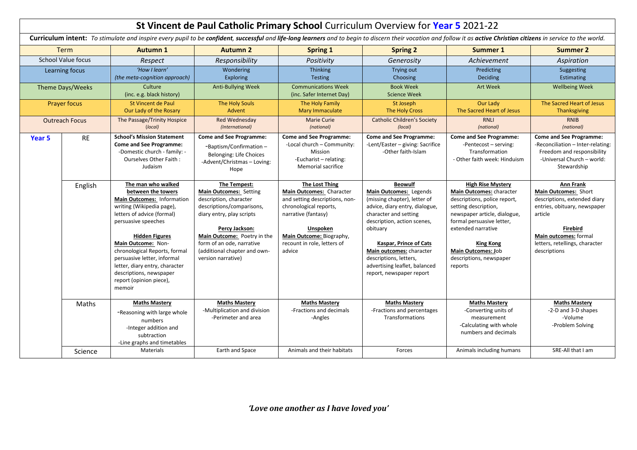|                           |                |                                                                                                                                                                                                                                                                                                                                                                           |                                                                                                                                                                                                                                                                |                                                                                                                                                                                                                | St Vincent de Paul Catholic Primary School Curriculum Overview for Year 5 2021-22                                                                                                                                                                                                                                                  |                                                                                                                                                                                                                                                                                 |                                                                                                                                                                                                                   |
|---------------------------|----------------|---------------------------------------------------------------------------------------------------------------------------------------------------------------------------------------------------------------------------------------------------------------------------------------------------------------------------------------------------------------------------|----------------------------------------------------------------------------------------------------------------------------------------------------------------------------------------------------------------------------------------------------------------|----------------------------------------------------------------------------------------------------------------------------------------------------------------------------------------------------------------|------------------------------------------------------------------------------------------------------------------------------------------------------------------------------------------------------------------------------------------------------------------------------------------------------------------------------------|---------------------------------------------------------------------------------------------------------------------------------------------------------------------------------------------------------------------------------------------------------------------------------|-------------------------------------------------------------------------------------------------------------------------------------------------------------------------------------------------------------------|
|                           |                | Curriculum intent: To stimulate and inspire every pupil to be confident, successful and life-long learners and to begin to discern their vocation and follow it as active Christian citizens in service to the world.                                                                                                                                                     |                                                                                                                                                                                                                                                                |                                                                                                                                                                                                                |                                                                                                                                                                                                                                                                                                                                    |                                                                                                                                                                                                                                                                                 |                                                                                                                                                                                                                   |
| Term                      |                | <b>Autumn 1</b>                                                                                                                                                                                                                                                                                                                                                           | <b>Autumn 2</b>                                                                                                                                                                                                                                                | <b>Spring 1</b>                                                                                                                                                                                                | <b>Spring 2</b>                                                                                                                                                                                                                                                                                                                    | Summer 1                                                                                                                                                                                                                                                                        | <b>Summer 2</b>                                                                                                                                                                                                   |
| <b>School Value focus</b> |                | Respect                                                                                                                                                                                                                                                                                                                                                                   | Responsibility                                                                                                                                                                                                                                                 | Positivity                                                                                                                                                                                                     | Generosity                                                                                                                                                                                                                                                                                                                         | Achievement                                                                                                                                                                                                                                                                     | Aspiration                                                                                                                                                                                                        |
| Learning focus            |                | 'How I learn'<br>(the meta-cognition approach)                                                                                                                                                                                                                                                                                                                            | Wondering<br><b>Exploring</b>                                                                                                                                                                                                                                  | <b>Thinking</b><br><b>Testing</b>                                                                                                                                                                              | Trying out<br>Choosing                                                                                                                                                                                                                                                                                                             | Predicting<br><b>Deciding</b>                                                                                                                                                                                                                                                   | Suggesting<br>Estimating                                                                                                                                                                                          |
| Theme Days/Weeks          |                | Culture<br>(inc. e.g. black history)                                                                                                                                                                                                                                                                                                                                      | <b>Anti-Bullying Week</b>                                                                                                                                                                                                                                      | <b>Communications Week</b><br>(inc. Safer Internet Day)                                                                                                                                                        | <b>Book Week</b><br><b>Science Week</b>                                                                                                                                                                                                                                                                                            | <b>Art Week</b>                                                                                                                                                                                                                                                                 | <b>Wellbeing Week</b>                                                                                                                                                                                             |
| <b>Prayer focus</b>       |                | <b>St Vincent de Paul</b><br>Our Lady of the Rosary                                                                                                                                                                                                                                                                                                                       | The Holy Souls<br>Advent                                                                                                                                                                                                                                       | The Holy Family<br><b>Mary Immaculate</b>                                                                                                                                                                      | St Joseph<br>The Holy Cross                                                                                                                                                                                                                                                                                                        | <b>Our Lady</b><br>The Sacred Heart of Jesus                                                                                                                                                                                                                                    | The Sacred Heart of Jesus<br><b>Thanksgiving</b>                                                                                                                                                                  |
| <b>Outreach Focus</b>     |                | The Passage/Trinity Hospice<br>(local)                                                                                                                                                                                                                                                                                                                                    | Red Wednesday<br>(International)                                                                                                                                                                                                                               | <b>Marie Curie</b><br>(national)                                                                                                                                                                               | <b>Catholic Children's Society</b><br>(local)                                                                                                                                                                                                                                                                                      | <b>RNLI</b><br>(national)                                                                                                                                                                                                                                                       | <b>RNIB</b><br>(national)                                                                                                                                                                                         |
| Year 5                    | <b>RE</b>      | <b>School's Mission Statement</b><br><b>Come and See Programme:</b><br>-Domestic church - family: -<br>Ourselves Other Faith:<br>Judaism                                                                                                                                                                                                                                  | <b>Come and See Programme:</b><br>-Baptism/Confirmation-<br>Belonging: Life Choices<br>-Advent/Christmas - Loving:<br>Hope                                                                                                                                     | <b>Come and See Programme:</b><br>-Local church - Community:<br>Mission<br>-Eucharist - relating:<br><b>Memorial sacrifice</b>                                                                                 | <b>Come and See Programme:</b><br>-Lent/Easter - giving: Sacrifice<br>-Other faith-Islam                                                                                                                                                                                                                                           | <b>Come and See Programme:</b><br>-Pentecost - serving:<br>Transformation<br>- Other faith week: Hinduism                                                                                                                                                                       | <b>Come and See Programme:</b><br>-Reconciliation - Inter-relating:<br>Freedom and responsibility<br>-Universal Church - world:<br>Stewardship                                                                    |
|                           | English        | The man who walked<br>between the towers<br>Main Outcomes: Information<br>writing (Wikipedia page),<br>letters of advice (formal)<br>persuasive speeches<br><b>Hidden Figures</b><br>Main Outcome: Non-<br>chronological Reports, formal<br>persuasive letter, informal<br>letter, diary entry, character<br>descriptions, newspaper<br>report (opinion piece),<br>memoir | The Tempest:<br>Main Outcomes: Setting<br>description, character<br>descriptions/comparisons,<br>diary entry, play scripts<br>Percy Jackson:<br>Main Outcome: Poetry in the<br>form of an ode, narrative<br>(additional chapter and own-<br>version narrative) | The Lost Thing<br>Main Outcomes: Character<br>and setting descriptions, non-<br>chronological reports,<br>narrative (fantasy)<br>Unspoken<br>Main Outcome: Biography,<br>recount in role, letters of<br>advice | <b>Beowulf</b><br>Main Outcomes: Legends<br>(missing chapter), letter of<br>advice, diary entry, dialogue,<br>character and setting<br>description, action scenes,<br>obituary<br><b>Kaspar, Prince of Cats</b><br>Main outcomes: character<br>descriptions, letters,<br>advertising leaflet, balanced<br>report, newspaper report | <b>High Rise Mystery</b><br>Main Outcomes: character<br>descriptions, police report,<br>setting description,<br>newspaper article, dialogue,<br>formal persuasive letter,<br>extended narrative<br><b>King Kong</b><br>Main Outcomes: Job<br>descriptions, newspaper<br>reports | <b>Ann Frank</b><br>Main Outcomes: Short<br>descriptions, extended diary<br>entries, obituary, newspaper<br>article<br><b>Firebird</b><br>Main outcomes: formal<br>letters, retellings, character<br>descriptions |
|                           | <b>Maths</b>   | <b>Maths Mastery</b><br>-Reasoning with large whole<br>numbers<br>-Integer addition and<br>subtraction<br>-Line graphs and timetables                                                                                                                                                                                                                                     | <b>Maths Mastery</b><br>-Multiplication and division<br>-Perimeter and area                                                                                                                                                                                    | <b>Maths Mastery</b><br>-Fractions and decimals<br>-Angles                                                                                                                                                     | <b>Maths Mastery</b><br>-Fractions and percentages<br>Transformations                                                                                                                                                                                                                                                              | <b>Maths Mastery</b><br>-Converting units of<br>measurement<br>-Calculating with whole<br>numbers and decimals                                                                                                                                                                  | <b>Maths Mastery</b><br>-2-D and 3-D shapes<br>-Volume<br>-Problem Solving                                                                                                                                        |
|                           | <b>Science</b> | <b>Materials</b>                                                                                                                                                                                                                                                                                                                                                          | Earth and Space                                                                                                                                                                                                                                                | Animals and their habitats                                                                                                                                                                                     | Forces                                                                                                                                                                                                                                                                                                                             | Animals including humans                                                                                                                                                                                                                                                        | SRE-All that I am                                                                                                                                                                                                 |